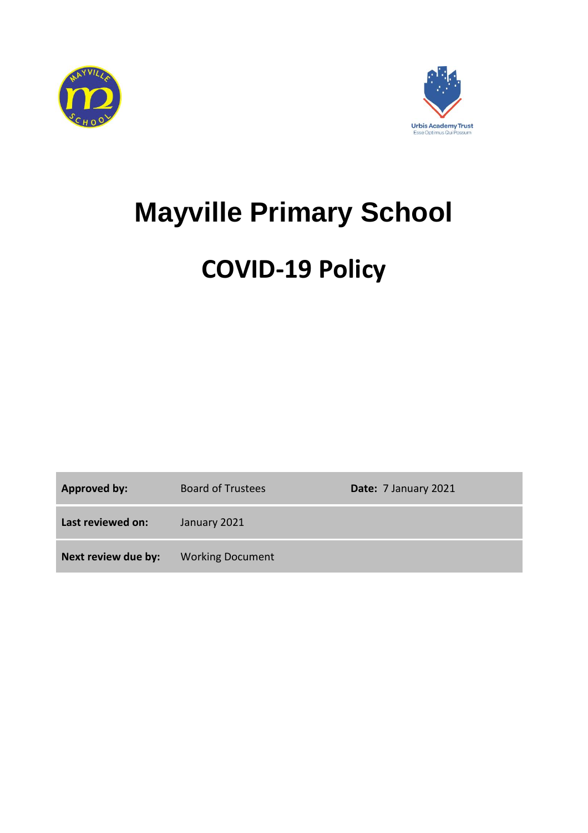



# **Mayville Primary School**

# **COVID-19 Policy**

Approved by: Board of Trustees **Date:** 7 January 2021 **Last reviewed on:** January 2021 **Next review due by:** Working Document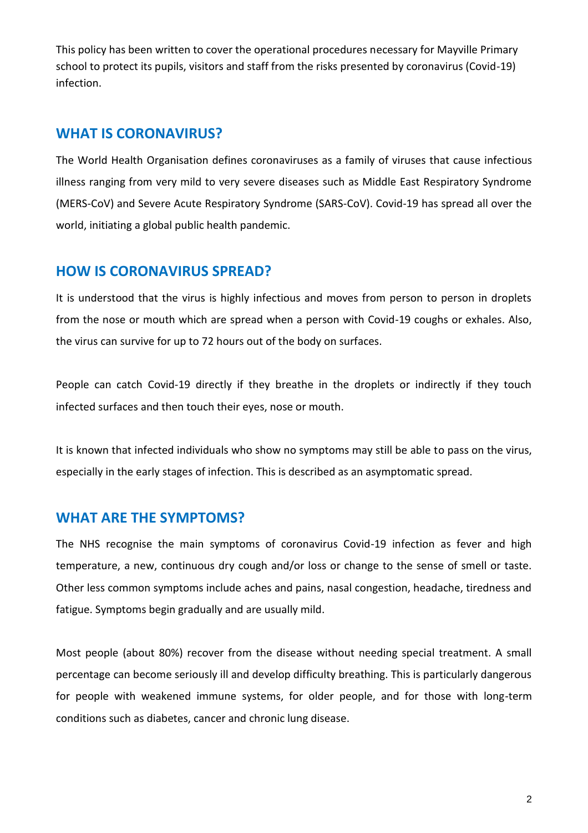This policy has been written to cover the operational procedures necessary for Mayville Primary school to protect its pupils, visitors and staff from the risks presented by coronavirus (Covid-19) infection.

# **WHAT IS CORONAVIRUS?**

The World Health Organisation defines coronaviruses as a family of viruses that cause infectious illness ranging from very mild to very severe diseases such as Middle East Respiratory Syndrome (MERS-CoV) and Severe Acute Respiratory Syndrome (SARS-CoV). Covid-19 has spread all over the world, initiating a global public health pandemic.

# **HOW IS CORONAVIRUS SPREAD?**

It is understood that the virus is highly infectious and moves from person to person in droplets from the nose or mouth which are spread when a person with Covid-19 coughs or exhales. Also, the virus can survive for up to 72 hours out of the body on surfaces.

People can catch Covid-19 directly if they breathe in the droplets or indirectly if they touch infected surfaces and then touch their eyes, nose or mouth.

It is known that infected individuals who show no symptoms may still be able to pass on the virus, especially in the early stages of infection. This is described as an asymptomatic spread.

# **WHAT ARE THE SYMPTOMS?**

The NHS recognise the main symptoms of coronavirus Covid-19 infection as fever and high temperature, a new, continuous dry cough and/or loss or change to the sense of smell or taste. Other less common symptoms include aches and pains, nasal congestion, headache, tiredness and fatigue. Symptoms begin gradually and are usually mild.

Most people (about 80%) recover from the disease without needing special treatment. A small percentage can become seriously ill and develop difficulty breathing. This is particularly dangerous for people with weakened immune systems, for older people, and for those with long-term conditions such as diabetes, cancer and chronic lung disease.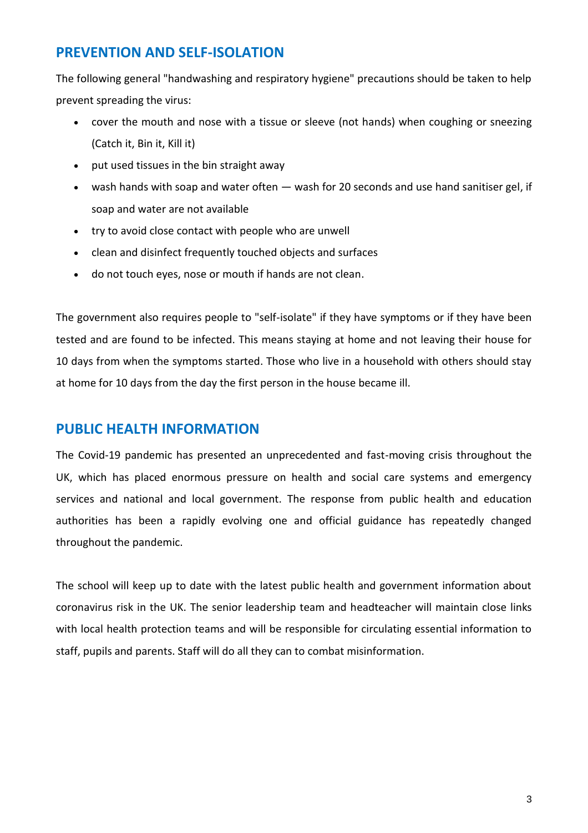# **PREVENTION AND SELF-ISOLATION**

The following general "handwashing and respiratory hygiene" precautions should be taken to help prevent spreading the virus:

- cover the mouth and nose with a tissue or sleeve (not hands) when coughing or sneezing (Catch it, Bin it, Kill it)
- put used tissues in the bin straight away
- wash hands with soap and water often wash for 20 seconds and use hand sanitiser gel, if soap and water are not available
- try to avoid close contact with people who are unwell
- clean and disinfect frequently touched objects and surfaces
- do not touch eyes, nose or mouth if hands are not clean.

The government also requires people to "self-isolate" if they have symptoms or if they have been tested and are found to be infected. This means staying at home and not leaving their house for 10 days from when the symptoms started. Those who live in a household with others should stay at home for 10 days from the day the first person in the house became ill.

# **PUBLIC HEALTH INFORMATION**

The Covid-19 pandemic has presented an unprecedented and fast-moving crisis throughout the UK, which has placed enormous pressure on health and social care systems and emergency services and national and local government. The response from public health and education authorities has been a rapidly evolving one and official guidance has repeatedly changed throughout the pandemic.

The school will keep up to date with the latest public health and government information about coronavirus risk in the UK. The senior leadership team and headteacher will maintain close links with local health protection teams and will be responsible for circulating essential information to staff, pupils and parents. Staff will do all they can to combat misinformation.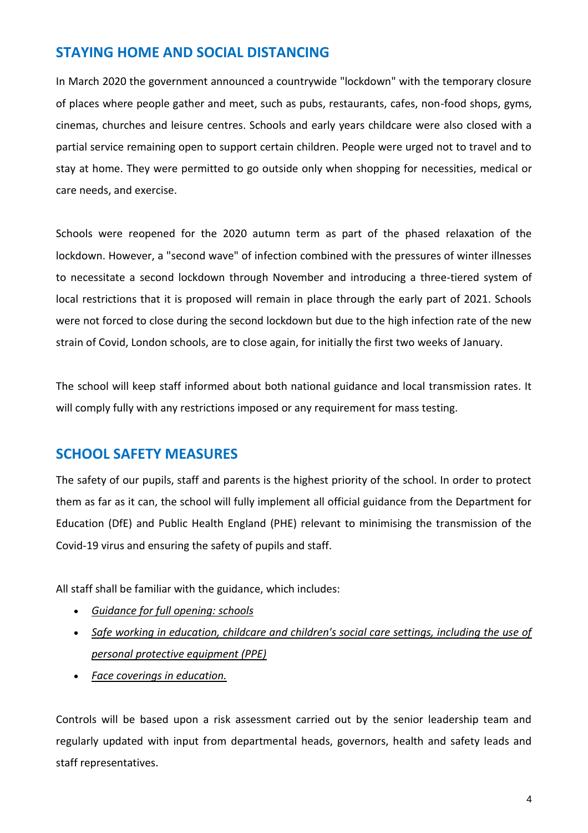# **STAYING HOME AND SOCIAL DISTANCING**

In March 2020 the government announced a countrywide "lockdown" with the temporary closure of places where people gather and meet, such as pubs, restaurants, cafes, non-food shops, gyms, cinemas, churches and leisure centres. Schools and early years childcare were also closed with a partial service remaining open to support certain children. People were urged not to travel and to stay at home. They were permitted to go outside only when shopping for necessities, medical or care needs, and exercise.

Schools were reopened for the 2020 autumn term as part of the phased relaxation of the lockdown. However, a "second wave" of infection combined with the pressures of winter illnesses to necessitate a second lockdown through November and introducing a three-tiered system of local restrictions that it is proposed will remain in place through the early part of 2021. Schools were not forced to close during the second lockdown but due to the high infection rate of the new strain of Covid, London schools, are to close again, for initially the first two weeks of January.

The school will keep staff informed about both national guidance and local transmission rates. It will comply fully with any restrictions imposed or any requirement for mass testing.

# **SCHOOL SAFETY MEASURES**

The safety of our pupils, staff and parents is the highest priority of the school. In order to protect them as far as it can, the school will fully implement all official guidance from the Department for Education (DfE) and Public Health England (PHE) relevant to minimising the transmission of the Covid-19 virus and ensuring the safety of pupils and staff.

All staff shall be familiar with the guidance, which includes:

- *[Guidance for full opening: schools](https://www.gov.uk/government/publications/actions-for-schools-during-the-coronavirus-outbreak/guidance-for-full-opening-schools)*
- *[Safe working in education, childcare and children's social care settings, including the use of](https://www.gov.uk/government/publications/safe-working-in-education-childcare-and-childrens-social-care/safe-working-in-education-childcare-and-childrens-social-care-settings-including-the-use-of-personal-protective-equipment-ppe)  [personal protective equipment \(PPE\)](https://www.gov.uk/government/publications/safe-working-in-education-childcare-and-childrens-social-care/safe-working-in-education-childcare-and-childrens-social-care-settings-including-the-use-of-personal-protective-equipment-ppe)*
- *[Face coverings in education.](https://www.gov.uk/government/publications/face-coverings-in-education/face-coverings-in-education)*

Controls will be based upon a risk assessment carried out by the senior leadership team and regularly updated with input from departmental heads, governors, health and safety leads and staff representatives.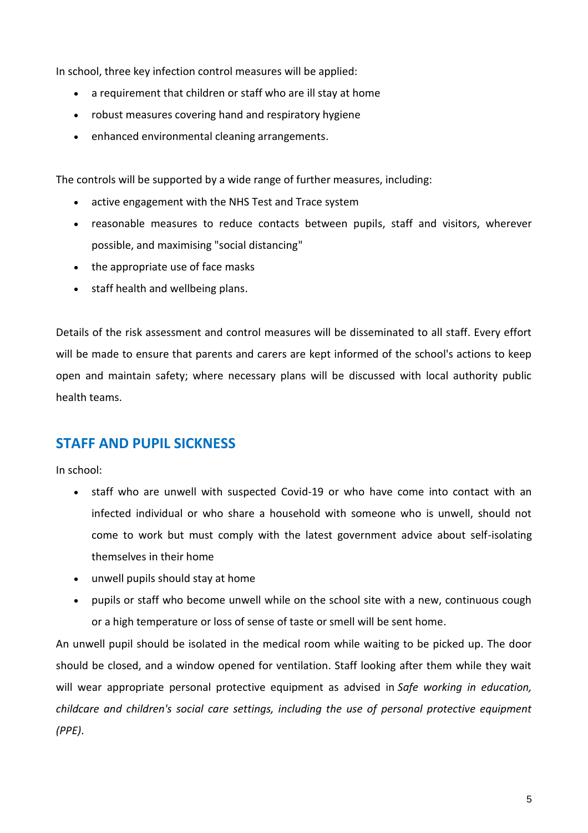In school, three key infection control measures will be applied:

- a requirement that children or staff who are ill stay at home
- robust measures covering hand and respiratory hygiene
- enhanced environmental cleaning arrangements.

The controls will be supported by a wide range of further measures, including:

- active engagement with the NHS Test and Trace system
- reasonable measures to reduce contacts between pupils, staff and visitors, wherever possible, and maximising "social distancing"
- the appropriate use of face masks
- staff health and wellbeing plans.

Details of the risk assessment and control measures will be disseminated to all staff. Every effort will be made to ensure that parents and carers are kept informed of the school's actions to keep open and maintain safety; where necessary plans will be discussed with local authority public health teams.

# **STAFF AND PUPIL SICKNESS**

In school:

- staff who are unwell with suspected Covid-19 or who have come into contact with an infected individual or who share a household with someone who is unwell, should not come to work but must comply with the latest government advice about self-isolating themselves in their home
- unwell pupils should stay at home
- pupils or staff who become unwell while on the school site with a new, continuous cough or a high temperature or loss of sense of taste or smell will be sent home.

An unwell pupil should be isolated in the medical room while waiting to be picked up. The door should be closed, and a window opened for ventilation. Staff looking after them while they wait will wear appropriate personal protective equipment as advised in *Safe working in education, childcare and children's social care settings, including the use of personal protective equipment (PPE)*.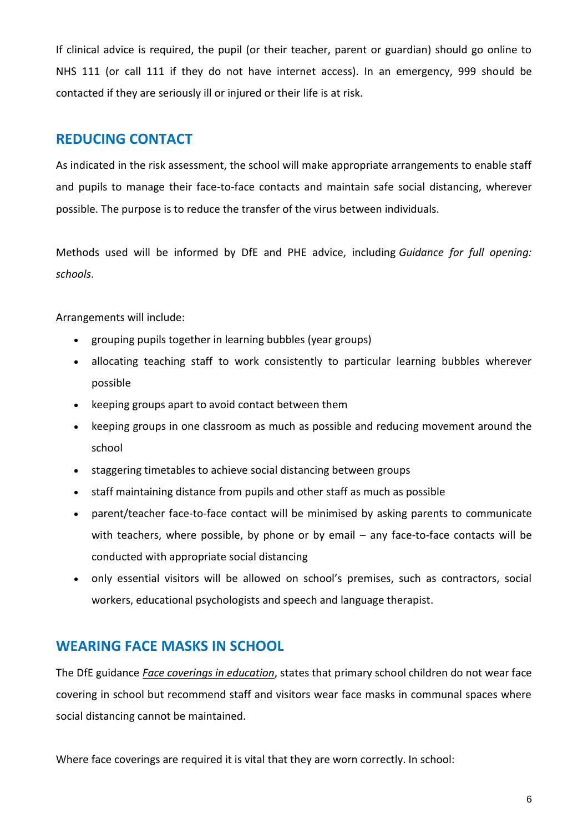If clinical advice is required, the pupil (or their teacher, parent or guardian) should go online to NHS 111 (or call 111 if they do not have internet access). In an emergency, 999 should be contacted if they are seriously ill or injured or their life is at risk.

# **REDUCING CONTACT**

As indicated in the risk assessment, the school will make appropriate arrangements to enable staff and pupils to manage their face-to-face contacts and maintain safe social distancing, wherever possible. The purpose is to reduce the transfer of the virus between individuals.

Methods used will be informed by DfE and PHE advice, including *Guidance for full opening: schools*.

Arrangements will include:

- grouping pupils together in learning bubbles (year groups)
- allocating teaching staff to work consistently to particular learning bubbles wherever possible
- keeping groups apart to avoid contact between them
- keeping groups in one classroom as much as possible and reducing movement around the school
- staggering timetables to achieve social distancing between groups
- staff maintaining distance from pupils and other staff as much as possible
- parent/teacher face-to-face contact will be minimised by asking parents to communicate with teachers, where possible, by phone or by email – any face-to-face contacts will be conducted with appropriate social distancing
- only essential visitors will be allowed on school's premises, such as contractors, social workers, educational psychologists and speech and language therapist.

# **WEARING FACE MASKS IN SCHOOL**

The DfE guidance *[Face coverings in education](https://www.gov.uk/government/publications/face-coverings-in-education/face-coverings-in-education)*, states that primary school children do not wear face covering in school but recommend staff and visitors wear face masks in communal spaces where social distancing cannot be maintained.

Where face coverings are required it is vital that they are worn correctly. In school: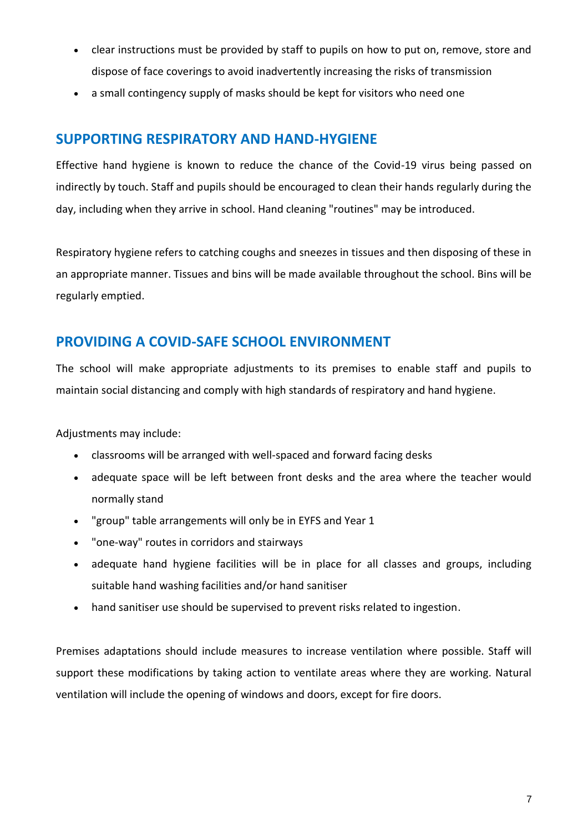- clear instructions must be provided by staff to pupils on how to put on, remove, store and dispose of face coverings to avoid inadvertently increasing the risks of transmission
- a small contingency supply of masks should be kept for visitors who need one

# **SUPPORTING RESPIRATORY AND HAND-HYGIENE**

Effective hand hygiene is known to reduce the chance of the Covid-19 virus being passed on indirectly by touch. Staff and pupils should be encouraged to clean their hands regularly during the day, including when they arrive in school. Hand cleaning "routines" may be introduced.

Respiratory hygiene refers to catching coughs and sneezes in tissues and then disposing of these in an appropriate manner. Tissues and bins will be made available throughout the school. Bins will be regularly emptied.

# **PROVIDING A COVID-SAFE SCHOOL ENVIRONMENT**

The school will make appropriate adjustments to its premises to enable staff and pupils to maintain social distancing and comply with high standards of respiratory and hand hygiene.

Adjustments may include:

- classrooms will be arranged with well-spaced and forward facing desks
- adequate space will be left between front desks and the area where the teacher would normally stand
- "group" table arrangements will only be in EYFS and Year 1
- "one-way" routes in corridors and stairways
- adequate hand hygiene facilities will be in place for all classes and groups, including suitable hand washing facilities and/or hand sanitiser
- hand sanitiser use should be supervised to prevent risks related to ingestion.

Premises adaptations should include measures to increase ventilation where possible. Staff will support these modifications by taking action to ventilate areas where they are working. Natural ventilation will include the opening of windows and doors, except for fire doors.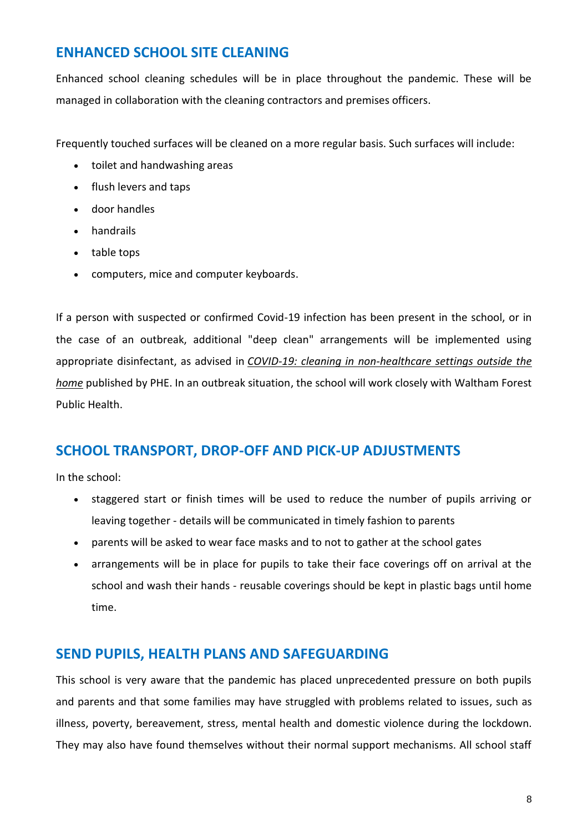# **ENHANCED SCHOOL SITE CLEANING**

Enhanced school cleaning schedules will be in place throughout the pandemic. These will be managed in collaboration with the cleaning contractors and premises officers.

Frequently touched surfaces will be cleaned on a more regular basis. Such surfaces will include:

- toilet and handwashing areas
- flush levers and taps
- door handles
- handrails
- table tops
- computers, mice and computer keyboards.

If a person with suspected or confirmed Covid-19 infection has been present in the school, or in the case of an outbreak, additional "deep clean" arrangements will be implemented using appropriate disinfectant, as advised in *[COVID-19: cleaning in non-healthcare settings outside the](https://www.gov.uk/government/publications/covid-19-decontamination-in-non-healthcare-settings/covid-19-decontamination-in-non-healthcare-settings)  [home](https://www.gov.uk/government/publications/covid-19-decontamination-in-non-healthcare-settings/covid-19-decontamination-in-non-healthcare-settings)* published by PHE. In an outbreak situation, the school will work closely with Waltham Forest Public Health.

# **SCHOOL TRANSPORT, DROP-OFF AND PICK-UP ADJUSTMENTS**

In the school:

- staggered start or finish times will be used to reduce the number of pupils arriving or leaving together - details will be communicated in timely fashion to parents
- parents will be asked to wear face masks and to not to gather at the school gates
- arrangements will be in place for pupils to take their face coverings off on arrival at the school and wash their hands - reusable coverings should be kept in plastic bags until home time.

# **SEND PUPILS, HEALTH PLANS AND SAFEGUARDING**

This school is very aware that the pandemic has placed unprecedented pressure on both pupils and parents and that some families may have struggled with problems related to issues, such as illness, poverty, bereavement, stress, mental health and domestic violence during the lockdown. They may also have found themselves without their normal support mechanisms. All school staff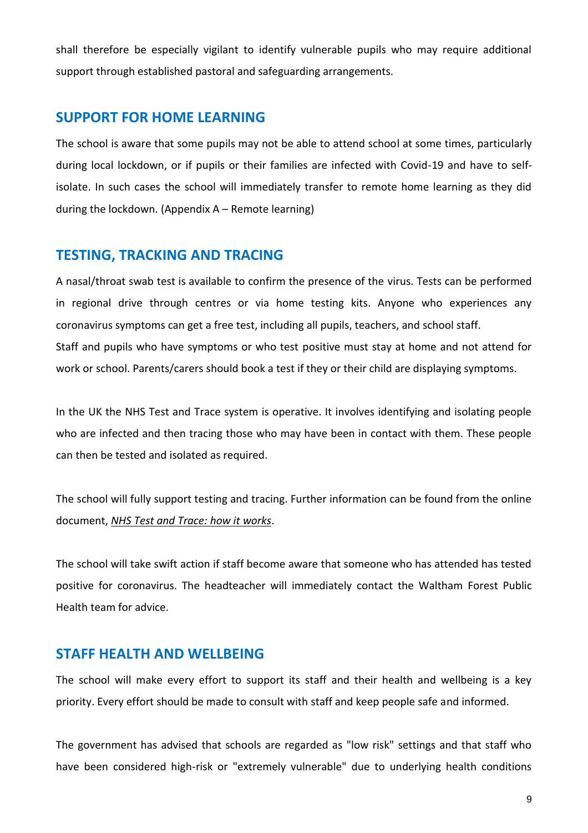shall therefore be especially vigilant to identify vulnerable pupils who may require additional support through established pastoral and safeguarding arrangements.

#### **SUPPORT FOR HOME LEARNING**

The school is aware that some pupils may not be able to attend school at some times, particularly during local lockdown, or if pupils or their families are infected with Covid-19 and have to selfisolate. In such cases the school will immediately transfer to remote home learning as they did during the lockdown. (Appendix A – Remote learning)

#### **TESTING, TRACKING AND TRACING**

A nasal/throat swab test is available to confirm the presence of the virus. Tests can be performed in regional drive through centres or via home testing kits. Anyone who experiences any coronavirus symptoms can get a free test, including all pupils, teachers, and school staff. Staff and pupils who have symptoms or who test positive must stay at home and not attend for work or school. Parents/carers should book a test if they or their child are displaying symptoms.

In the UK the NHS Test and Trace system is operative. It involves identifying and isolating people who are infected and then tracing those who may have been in contact with them. These people can then be tested and isolated as required.

The school will fully support testing and tracing. Further information can be found from the online document, *[NHS Test and Trace: how it works](https://www.gov.uk/guidance/nhs-test-and-trace-how-it-works)*.

The school will take swift action if staff become aware that someone who has attended has tested positive for coronavirus. The headteacher will immediately contact the Waltham Forest Public Health team for advice.

#### **STAFF HEALTH AND WELLBEING**

The school will make every effort to support its staff and their health and wellbeing is a key priority. Every effort should be made to consult with staff and keep people safe and informed.

The government has advised that schools are regarded as "low risk" settings and that staff who have been considered high-risk or "extremely vulnerable" due to underlying health conditions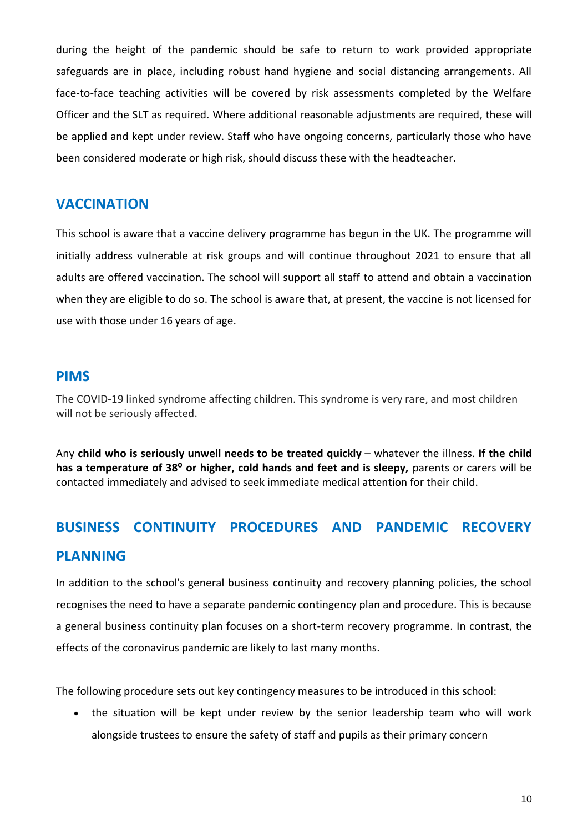during the height of the pandemic should be safe to return to work provided appropriate safeguards are in place, including robust hand hygiene and social distancing arrangements. All face-to-face teaching activities will be covered by risk assessments completed by the Welfare Officer and the SLT as required. Where additional reasonable adjustments are required, these will be applied and kept under review. Staff who have ongoing concerns, particularly those who have been considered moderate or high risk, should discuss these with the headteacher.

# **VACCINATION**

This school is aware that a vaccine delivery programme has begun in the UK. The programme will initially address vulnerable at risk groups and will continue throughout 2021 to ensure that all adults are offered vaccination. The school will support all staff to attend and obtain a vaccination when they are eligible to do so. The school is aware that, at present, the vaccine is not licensed for use with those under 16 years of age.

# **PIMS**

The COVID-19 linked syndrome affecting children. This syndrome is very rare, and most children will not be seriously affected.

Any **child who is seriously unwell needs to be treated quickly** – whatever the illness. **If the child**  has a temperature of 38<sup>°</sup> or higher, cold hands and feet and is sleepy, parents or carers will be contacted immediately and advised to seek immediate medical attention for their child.

# **BUSINESS CONTINUITY PROCEDURES AND PANDEMIC RECOVERY PLANNING**

In addition to the school's general business continuity and recovery planning policies, the school recognises the need to have a separate pandemic contingency plan and procedure. This is because a general business continuity plan focuses on a short-term recovery programme. In contrast, the effects of the coronavirus pandemic are likely to last many months.

The following procedure sets out key contingency measures to be introduced in this school:

 the situation will be kept under review by the senior leadership team who will work alongside trustees to ensure the safety of staff and pupils as their primary concern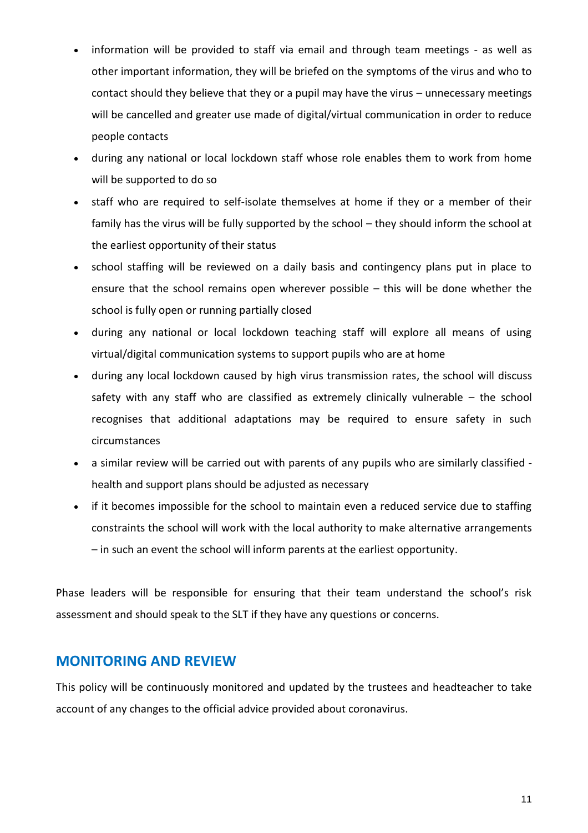- information will be provided to staff via email and through team meetings as well as other important information, they will be briefed on the symptoms of the virus and who to contact should they believe that they or a pupil may have the virus – unnecessary meetings will be cancelled and greater use made of digital/virtual communication in order to reduce people contacts
- during any national or local lockdown staff whose role enables them to work from home will be supported to do so
- staff who are required to self-isolate themselves at home if they or a member of their family has the virus will be fully supported by the school – they should inform the school at the earliest opportunity of their status
- school staffing will be reviewed on a daily basis and contingency plans put in place to ensure that the school remains open wherever possible – this will be done whether the school is fully open or running partially closed
- during any national or local lockdown teaching staff will explore all means of using virtual/digital communication systems to support pupils who are at home
- during any local lockdown caused by high virus transmission rates, the school will discuss safety with any staff who are classified as extremely clinically vulnerable – the school recognises that additional adaptations may be required to ensure safety in such circumstances
- a similar review will be carried out with parents of any pupils who are similarly classified health and support plans should be adjusted as necessary
- if it becomes impossible for the school to maintain even a reduced service due to staffing constraints the school will work with the local authority to make alternative arrangements – in such an event the school will inform parents at the earliest opportunity.

Phase leaders will be responsible for ensuring that their team understand the school's risk assessment and should speak to the SLT if they have any questions or concerns.

# **MONITORING AND REVIEW**

This policy will be continuously monitored and updated by the trustees and headteacher to take account of any changes to the official advice provided about coronavirus.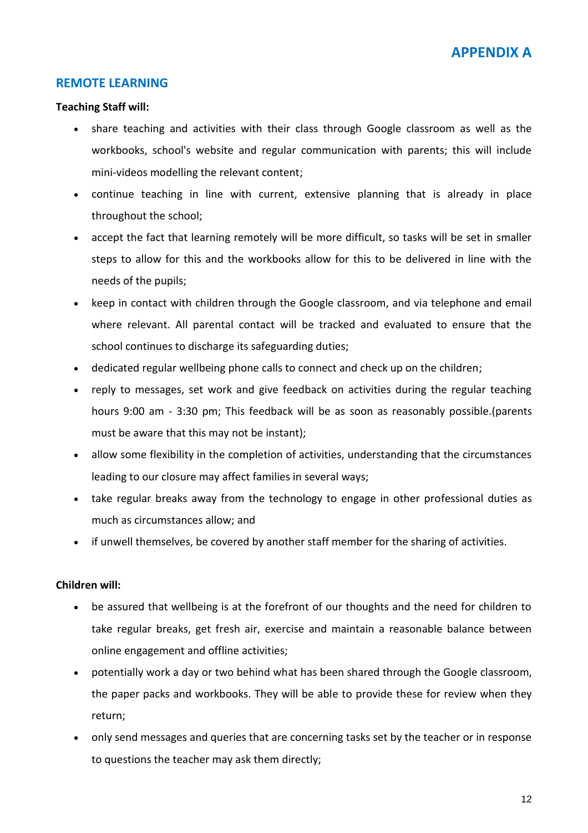

#### **REMOTE LEARNING**

#### **Teaching Staff will:**

- share teaching and activities with their class through Google classroom as well as the workbooks, school's website and regular communication with parents; this will include mini-videos modelling the relevant content;
- continue teaching in line with current, extensive planning that is already in place throughout the school;
- accept the fact that learning remotely will be more difficult, so tasks will be set in smaller steps to allow for this and the workbooks allow for this to be delivered in line with the needs of the pupils;
- keep in contact with children through the Google classroom, and via telephone and email where relevant. All parental contact will be tracked and evaluated to ensure that the school continues to discharge its safeguarding duties;
- dedicated regular wellbeing phone calls to connect and check up on the children;
- reply to messages, set work and give feedback on activities during the regular teaching hours 9:00 am - 3:30 pm; This feedback will be as soon as reasonably possible.(parents must be aware that this may not be instant);
- allow some flexibility in the completion of activities, understanding that the circumstances leading to our closure may affect families in several ways;
- take regular breaks away from the technology to engage in other professional duties as much as circumstances allow; and
- if unwell themselves, be covered by another staff member for the sharing of activities.

#### **Children will:**

- be assured that wellbeing is at the forefront of our thoughts and the need for children to take regular breaks, get fresh air, exercise and maintain a reasonable balance between online engagement and offline activities;
- potentially work a day or two behind what has been shared through the Google classroom, the paper packs and workbooks. They will be able to provide these for review when they return;
- only send messages and queries that are concerning tasks set by the teacher or in response to questions the teacher may ask them directly;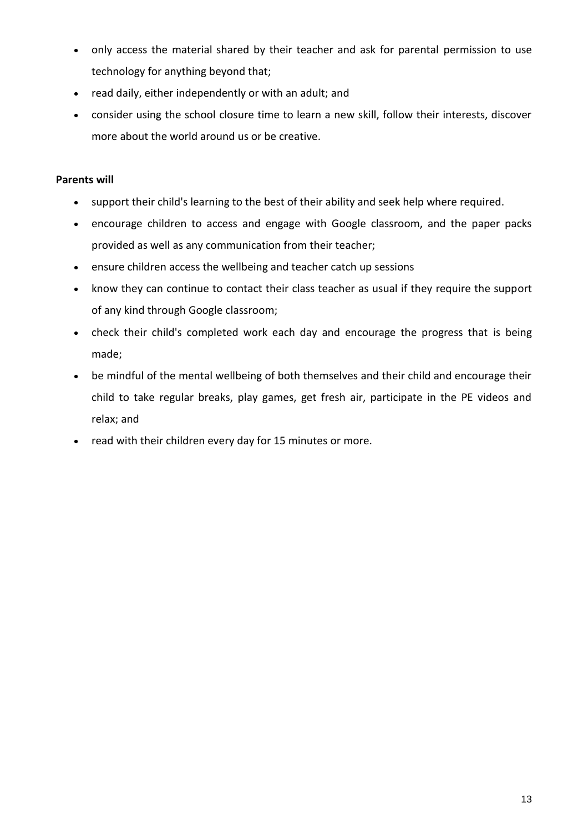- only access the material shared by their teacher and ask for parental permission to use technology for anything beyond that;
- read daily, either independently or with an adult; and
- consider using the school closure time to learn a new skill, follow their interests, discover more about the world around us or be creative.

#### **Parents will**

- support their child's learning to the best of their ability and seek help where required.
- encourage children to access and engage with Google classroom, and the paper packs provided as well as any communication from their teacher;
- ensure children access the wellbeing and teacher catch up sessions
- know they can continue to contact their class teacher as usual if they require the support of any kind through Google classroom;
- check their child's completed work each day and encourage the progress that is being made;
- be mindful of the mental wellbeing of both themselves and their child and encourage their child to take regular breaks, play games, get fresh air, participate in the PE videos and relax; and
- read with their children every day for 15 minutes or more.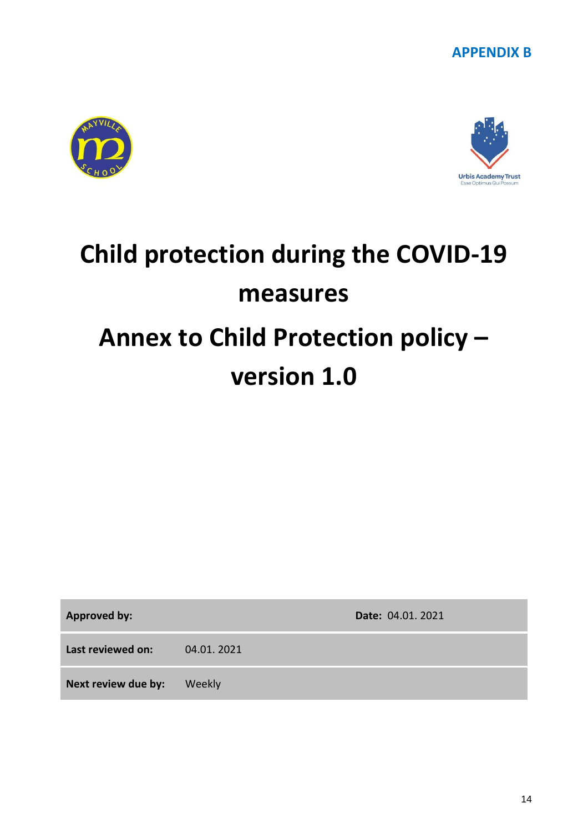





# **Child protection during the COVID-19 measures Annex to Child Protection policy – version 1.0**

**Approved by: Date:** 04.01. 2021

**Last reviewed on:** 04.01. 2021

**Next review due by:** Weekly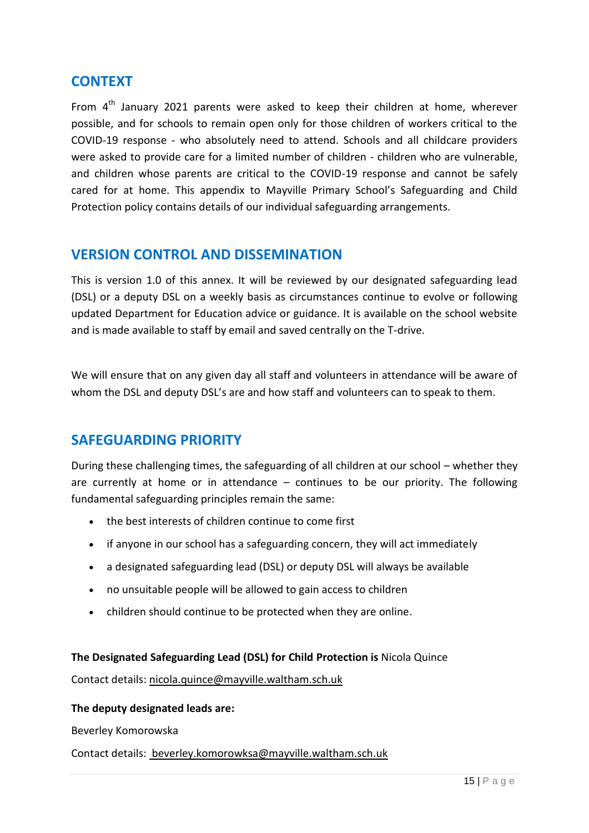# **CONTEXT**

From  $4<sup>th</sup>$  January 2021 parents were asked to keep their children at home, wherever possible, and for schools to remain open only for those children of workers critical to the COVID-19 response - who absolutely need to attend. Schools and all childcare providers were asked to provide care for a limited number of children - children who are vulnerable, and children whose parents are critical to the COVID-19 response and cannot be safely cared for at home. This appendix to Mayville Primary School's Safeguarding and Child Protection policy contains details of our individual safeguarding arrangements.

# **VERSION CONTROL AND DISSEMINATION**

This is version 1.0 of this annex. It will be reviewed by our designated safeguarding lead (DSL) or a deputy DSL on a weekly basis as circumstances continue to evolve or following updated Department for Education advice or guidance. It is available on the school website and is made available to staff by email and saved centrally on the T-drive.

We will ensure that on any given day all staff and volunteers in attendance will be aware of whom the DSL and deputy DSL's are and how staff and volunteers can to speak to them.

# **SAFEGUARDING PRIORITY**

During these challenging times, the safeguarding of all children at our school – whether they are currently at home or in attendance  $-$  continues to be our priority. The following fundamental safeguarding principles remain the same:

- the best interests of children continue to come first
- if anyone in our school has a safeguarding concern, they will act immediately
- a designated safeguarding lead (DSL) or deputy DSL will always be available
- no unsuitable people will be allowed to gain access to children
- children should continue to be protected when they are online.

**The Designated Safeguarding Lead (DSL) for Child Protection is** Nicola Quince

Contact details: [nicola.quince@mayville.waltham.sch.uk](mailto:nicola.quince@mayville.waltham.sch.uk)

#### **The deputy designated leads are:**

Beverley Komorowska

Contact details: beverley.komorowksa@mayville.waltham.sch.uk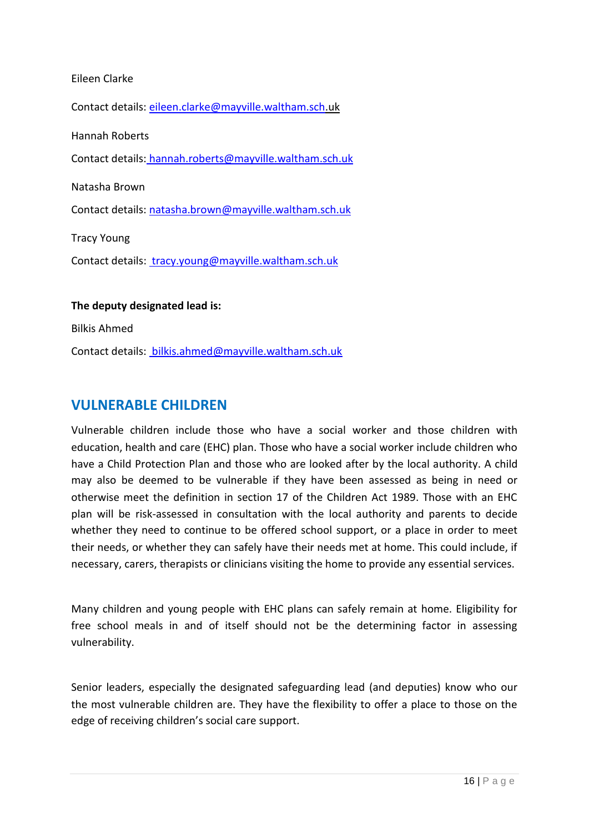#### Eileen Clarke

Contact details: [eileen.clarke@mayville.waltham.sch.](mailto:eileen.clarke@mayville.waltham.sch)uk Hannah Roberts Contact details: [hannah.roberts@mayville.waltham.sch.uk](mailto:%20hannah.roberts@mayville.waltham.sch.uk)  Natasha Brown Contact details: [natasha.brown@mayville.waltham.sch.uk](mailto:natasha.brown@mayville.waltham.sch.uk) Tracy Young Contact details: tracy.young@mayville.waltham.sch.uk **The deputy designated lead is:**

Bilkis Ahmed Contact details: [bilkis.ahmed@mayville.waltham.sch.uk](mailto:%20bilkis.ahmed@mayville.waltham.sch.uk) 

# **VULNERABLE CHILDREN**

Vulnerable children include those who have a social worker and those children with education, health and care (EHC) plan. Those who have a social worker include children who have a Child Protection Plan and those who are looked after by the local authority. A child may also be deemed to be vulnerable if they have been assessed as being in need or otherwise meet the definition in section 17 of the Children Act 1989. Those with an EHC plan will be risk-assessed in consultation with the local authority and parents to decide whether they need to continue to be offered school support, or a place in order to meet their needs, or whether they can safely have their needs met at home. This could include, if necessary, carers, therapists or clinicians visiting the home to provide any essential services.

Many children and young people with EHC plans can safely remain at home. Eligibility for free school meals in and of itself should not be the determining factor in assessing vulnerability.

Senior leaders, especially the designated safeguarding lead (and deputies) know who our the most vulnerable children are. They have the flexibility to offer a place to those on the edge of receiving children's social care support.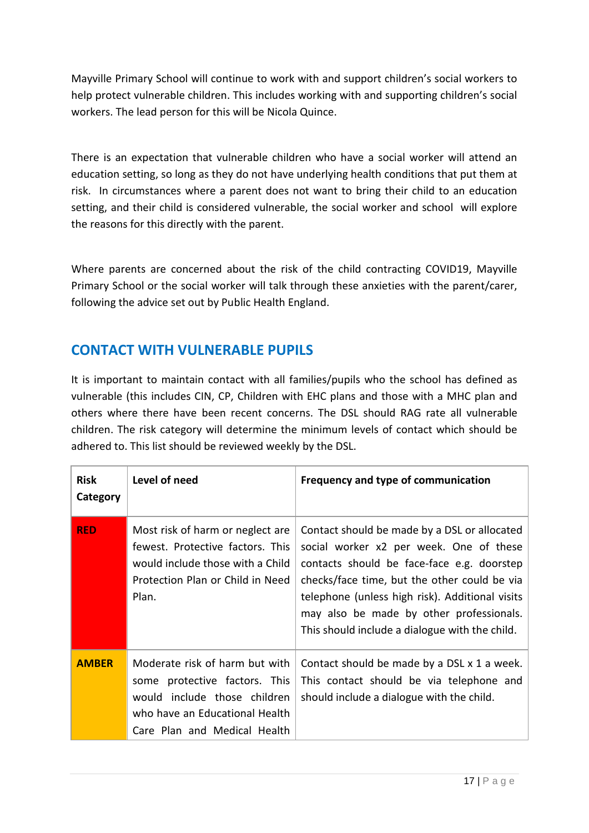Mayville Primary School will continue to work with and support children's social workers to help protect vulnerable children. This includes working with and supporting children's social workers. The lead person for this will be Nicola Quince.

There is an expectation that vulnerable children who have a social worker will attend an education setting, so long as they do not have underlying health conditions that put them at risk. In circumstances where a parent does not want to bring their child to an education setting, and their child is considered vulnerable, the social worker and school will explore the reasons for this directly with the parent.

Where parents are concerned about the risk of the child contracting COVID19, Mayville Primary School or the social worker will talk through these anxieties with the parent/carer, following the advice set out by Public Health England.

# **CONTACT WITH VULNERABLE PUPILS**

It is important to maintain contact with all families/pupils who the school has defined as vulnerable (this includes CIN, CP, Children with EHC plans and those with a MHC plan and others where there have been recent concerns. The DSL should RAG rate all vulnerable children. The risk category will determine the minimum levels of contact which should be adhered to. This list should be reviewed weekly by the DSL.

| <b>Risk</b><br>Category | Level of need                                                                                                                                                     | Frequency and type of communication                                                                                                                                                                                                                                                                                                    |
|-------------------------|-------------------------------------------------------------------------------------------------------------------------------------------------------------------|----------------------------------------------------------------------------------------------------------------------------------------------------------------------------------------------------------------------------------------------------------------------------------------------------------------------------------------|
| <b>RED</b>              | Most risk of harm or neglect are<br>fewest. Protective factors. This<br>would include those with a Child<br>Protection Plan or Child in Need<br>Plan.             | Contact should be made by a DSL or allocated<br>social worker x2 per week. One of these<br>contacts should be face-face e.g. doorstep<br>checks/face time, but the other could be via<br>telephone (unless high risk). Additional visits<br>may also be made by other professionals.<br>This should include a dialogue with the child. |
| <b>AMBER</b>            | Moderate risk of harm but with<br>some protective factors. This<br>would include those children<br>who have an Educational Health<br>Care Plan and Medical Health | Contact should be made by a DSL x 1 a week.<br>This contact should be via telephone and<br>should include a dialogue with the child.                                                                                                                                                                                                   |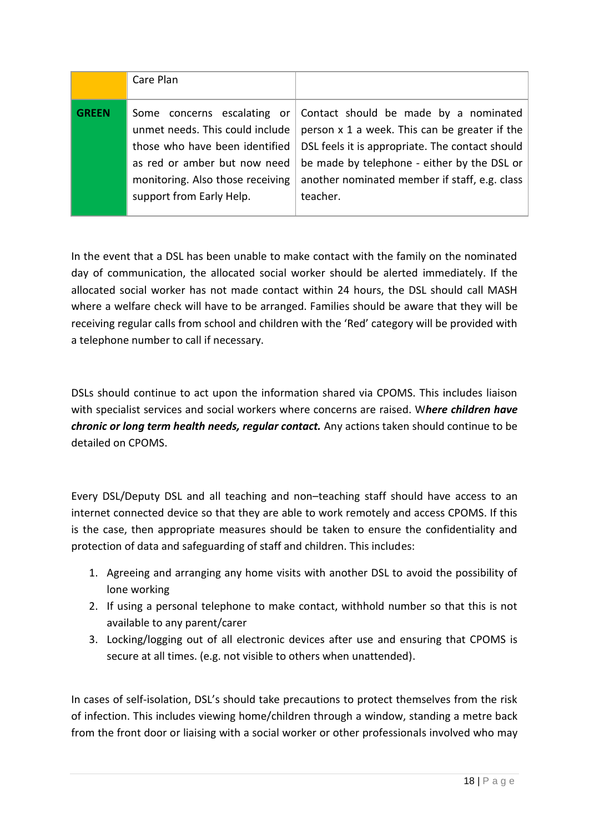|              | Care Plan                        |                                                 |
|--------------|----------------------------------|-------------------------------------------------|
|              |                                  |                                                 |
| <b>GREEN</b> | Some concerns escalating or      | Contact should be made by a nominated           |
|              | unmet needs. This could include  | person x 1 a week. This can be greater if the   |
|              | those who have been identified   | DSL feels it is appropriate. The contact should |
|              | as red or amber but now need     | be made by telephone - either by the DSL or     |
|              | monitoring. Also those receiving | another nominated member if staff, e.g. class   |
|              | support from Early Help.         | teacher.                                        |
|              |                                  |                                                 |

In the event that a DSL has been unable to make contact with the family on the nominated day of communication, the allocated social worker should be alerted immediately. If the allocated social worker has not made contact within 24 hours, the DSL should call MASH where a welfare check will have to be arranged. Families should be aware that they will be receiving regular calls from school and children with the 'Red' category will be provided with a telephone number to call if necessary.

DSLs should continue to act upon the information shared via CPOMS. This includes liaison with specialist services and social workers where concerns are raised. W*here children have chronic or long term health needs, regular contact.* Any actions taken should continue to be detailed on CPOMS.

Every DSL/Deputy DSL and all teaching and non–teaching staff should have access to an internet connected device so that they are able to work remotely and access CPOMS. If this is the case, then appropriate measures should be taken to ensure the confidentiality and protection of data and safeguarding of staff and children. This includes:

- 1. Agreeing and arranging any home visits with another DSL to avoid the possibility of lone working
- 2. If using a personal telephone to make contact, withhold number so that this is not available to any parent/carer
- 3. Locking/logging out of all electronic devices after use and ensuring that CPOMS is secure at all times. (e.g. not visible to others when unattended).

In cases of self-isolation, DSL's should take precautions to protect themselves from the risk of infection. This includes viewing home/children through a window, standing a metre back from the front door or liaising with a social worker or other professionals involved who may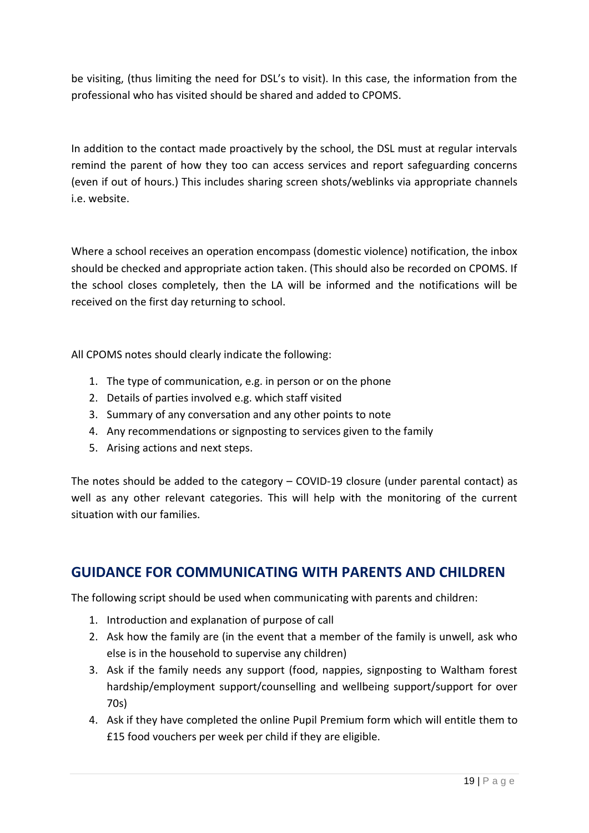be visiting, (thus limiting the need for DSL's to visit). In this case, the information from the professional who has visited should be shared and added to CPOMS.

In addition to the contact made proactively by the school, the DSL must at regular intervals remind the parent of how they too can access services and report safeguarding concerns (even if out of hours.) This includes sharing screen shots/weblinks via appropriate channels i.e. website.

Where a school receives an operation encompass (domestic violence) notification, the inbox should be checked and appropriate action taken. (This should also be recorded on CPOMS. If the school closes completely, then the LA will be informed and the notifications will be received on the first day returning to school.

All CPOMS notes should clearly indicate the following:

- 1. The type of communication, e.g. in person or on the phone
- 2. Details of parties involved e.g. which staff visited
- 3. Summary of any conversation and any other points to note
- 4. Any recommendations or signposting to services given to the family
- 5. Arising actions and next steps.

The notes should be added to the category – COVID-19 closure (under parental contact) as well as any other relevant categories. This will help with the monitoring of the current situation with our families.

# **GUIDANCE FOR COMMUNICATING WITH PARENTS AND CHILDREN**

The following script should be used when communicating with parents and children:

- 1. Introduction and explanation of purpose of call
- 2. Ask how the family are (in the event that a member of the family is unwell, ask who else is in the household to supervise any children)
- 3. Ask if the family needs any support (food, nappies, signposting to Waltham forest hardship/employment support/counselling and wellbeing support/support for over 70s)
- 4. Ask if they have completed the online Pupil Premium form which will entitle them to £15 food vouchers per week per child if they are eligible.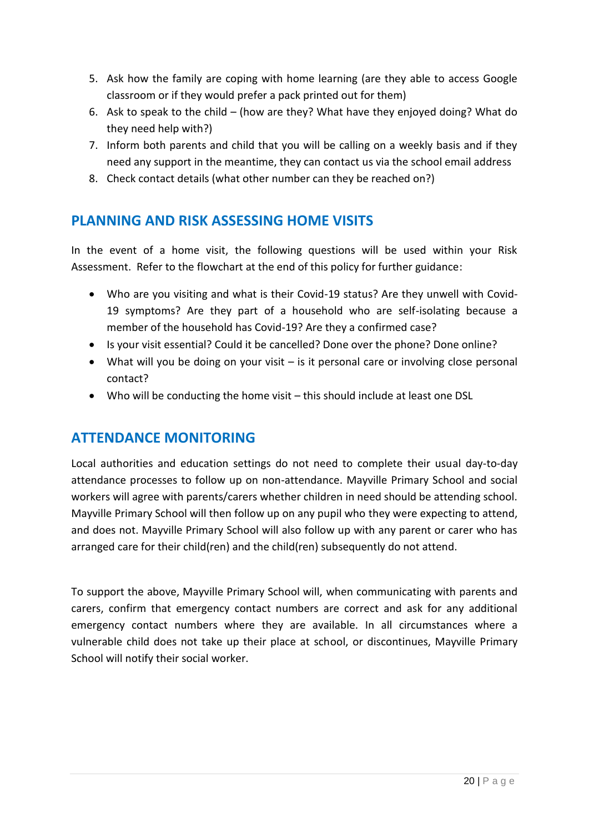- 5. Ask how the family are coping with home learning (are they able to access Google classroom or if they would prefer a pack printed out for them)
- 6. Ask to speak to the child (how are they? What have they enjoyed doing? What do they need help with?)
- 7. Inform both parents and child that you will be calling on a weekly basis and if they need any support in the meantime, they can contact us via the school email address
- 8. Check contact details (what other number can they be reached on?)

# **PLANNING AND RISK ASSESSING HOME VISITS**

In the event of a home visit, the following questions will be used within your Risk Assessment. Refer to the flowchart at the end of this policy for further guidance:

- Who are you visiting and what is their Covid-19 status? Are they unwell with Covid-19 symptoms? Are they part of a household who are self-isolating because a member of the household has Covid-19? Are they a confirmed case?
- Is your visit essential? Could it be cancelled? Done over the phone? Done online?
- What will you be doing on your visit is it personal care or involving close personal contact?
- Who will be conducting the home visit this should include at least one DSL

# **ATTENDANCE MONITORING**

Local authorities and education settings do not need to complete their usual day-to-day attendance processes to follow up on non-attendance. Mayville Primary School and social workers will agree with parents/carers whether children in need should be attending school. Mayville Primary School will then follow up on any pupil who they were expecting to attend, and does not. Mayville Primary School will also follow up with any parent or carer who has arranged care for their child(ren) and the child(ren) subsequently do not attend.

To support the above, Mayville Primary School will, when communicating with parents and carers, confirm that emergency contact numbers are correct and ask for any additional emergency contact numbers where they are available. In all circumstances where a vulnerable child does not take up their place at school, or discontinues, Mayville Primary School will notify their social worker.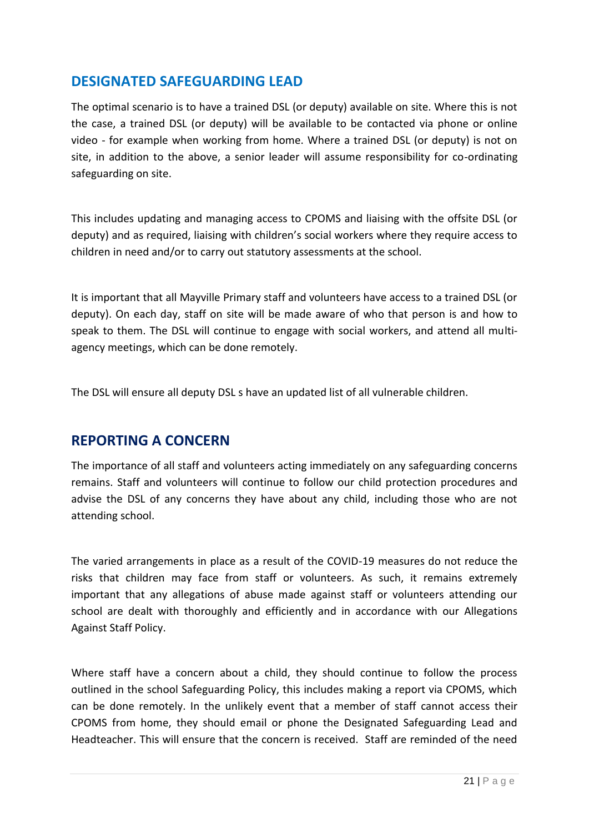# **DESIGNATED SAFEGUARDING LEAD**

The optimal scenario is to have a trained DSL (or deputy) available on site. Where this is not the case, a trained DSL (or deputy) will be available to be contacted via phone or online video - for example when working from home. Where a trained DSL (or deputy) is not on site, in addition to the above, a senior leader will assume responsibility for co-ordinating safeguarding on site.

This includes updating and managing access to CPOMS and liaising with the offsite DSL (or deputy) and as required, liaising with children's social workers where they require access to children in need and/or to carry out statutory assessments at the school.

It is important that all Mayville Primary staff and volunteers have access to a trained DSL (or deputy). On each day, staff on site will be made aware of who that person is and how to speak to them. The DSL will continue to engage with social workers, and attend all multiagency meetings, which can be done remotely.

The DSL will ensure all deputy DSL s have an updated list of all vulnerable children.

# **REPORTING A CONCERN**

The importance of all staff and volunteers acting immediately on any safeguarding concerns remains. Staff and volunteers will continue to follow our child protection procedures and advise the DSL of any concerns they have about any child, including those who are not attending school.

The varied arrangements in place as a result of the COVID-19 measures do not reduce the risks that children may face from staff or volunteers. As such, it remains extremely important that any allegations of abuse made against staff or volunteers attending our school are dealt with thoroughly and efficiently and in accordance with our Allegations Against Staff Policy.

Where staff have a concern about a child, they should continue to follow the process outlined in the school Safeguarding Policy, this includes making a report via CPOMS, which can be done remotely. In the unlikely event that a member of staff cannot access their CPOMS from home, they should email or phone the Designated Safeguarding Lead and Headteacher. This will ensure that the concern is received. Staff are reminded of the need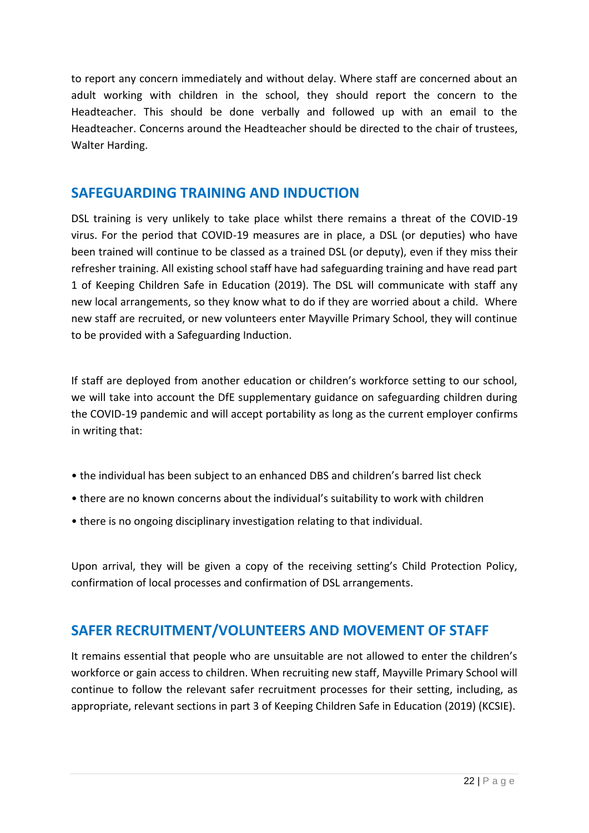to report any concern immediately and without delay. Where staff are concerned about an adult working with children in the school, they should report the concern to the Headteacher. This should be done verbally and followed up with an email to the Headteacher. Concerns around the Headteacher should be directed to the chair of trustees, Walter Harding.

# **SAFEGUARDING TRAINING AND INDUCTION**

DSL training is very unlikely to take place whilst there remains a threat of the COVID-19 virus. For the period that COVID-19 measures are in place, a DSL (or deputies) who have been trained will continue to be classed as a trained DSL (or deputy), even if they miss their refresher training. All existing school staff have had safeguarding training and have read part 1 of Keeping Children Safe in Education (2019). The DSL will communicate with staff any new local arrangements, so they know what to do if they are worried about a child. Where new staff are recruited, or new volunteers enter Mayville Primary School, they will continue to be provided with a Safeguarding Induction.

If staff are deployed from another education or children's workforce setting to our school, we will take into account the DfE supplementary guidance on safeguarding children during the COVID-19 pandemic and will accept portability as long as the current employer confirms in writing that:

- the individual has been subject to an enhanced DBS and children's barred list check
- there are no known concerns about the individual's suitability to work with children
- there is no ongoing disciplinary investigation relating to that individual.

Upon arrival, they will be given a copy of the receiving setting's Child Protection Policy, confirmation of local processes and confirmation of DSL arrangements.

# **SAFER RECRUITMENT/VOLUNTEERS AND MOVEMENT OF STAFF**

It remains essential that people who are unsuitable are not allowed to enter the children's workforce or gain access to children. When recruiting new staff, Mayville Primary School will continue to follow the relevant safer recruitment processes for their setting, including, as appropriate, relevant sections in part 3 of Keeping Children Safe in Education (2019) (KCSIE).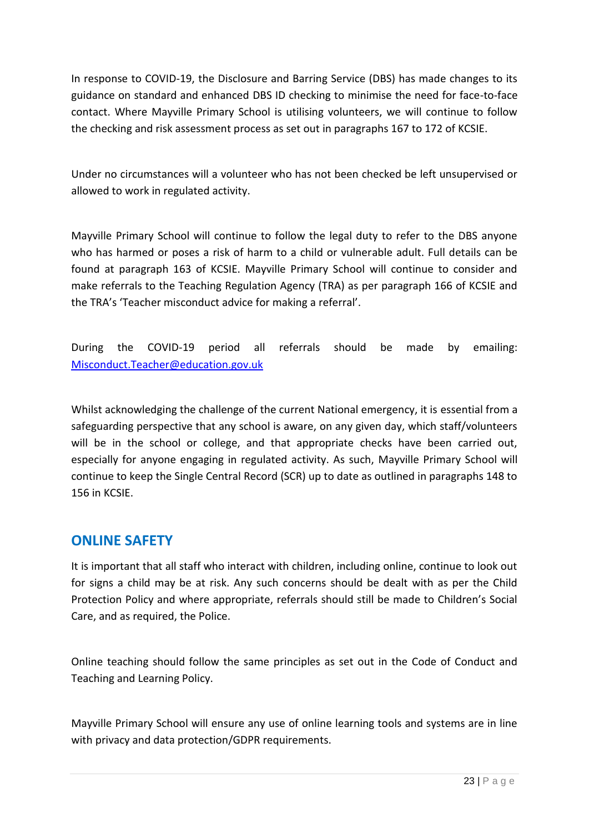In response to COVID-19, the Disclosure and Barring Service (DBS) has made changes to its guidance on standard and enhanced DBS ID checking to minimise the need for face-to-face contact. Where Mayville Primary School is utilising volunteers, we will continue to follow the checking and risk assessment process as set out in paragraphs 167 to 172 of KCSIE.

Under no circumstances will a volunteer who has not been checked be left unsupervised or allowed to work in regulated activity.

Mayville Primary School will continue to follow the legal duty to refer to the DBS anyone who has harmed or poses a risk of harm to a child or vulnerable adult. Full details can be found at paragraph 163 of KCSIE. Mayville Primary School will continue to consider and make referrals to the Teaching Regulation Agency (TRA) as per paragraph 166 of KCSIE and the TRA's 'Teacher misconduct advice for making a referral'.

During the COVID-19 period all referrals should be made by emailing: [Misconduct.Teacher@education.gov.uk](mailto:Misconduct.Teacher@education.gov.uk)

Whilst acknowledging the challenge of the current National emergency, it is essential from a safeguarding perspective that any school is aware, on any given day, which staff/volunteers will be in the school or college, and that appropriate checks have been carried out, especially for anyone engaging in regulated activity. As such, Mayville Primary School will continue to keep the Single Central Record (SCR) up to date as outlined in paragraphs 148 to 156 in KCSIE.

# **ONLINE SAFETY**

It is important that all staff who interact with children, including online, continue to look out for signs a child may be at risk. Any such concerns should be dealt with as per the Child Protection Policy and where appropriate, referrals should still be made to Children's Social Care, and as required, the Police.

Online teaching should follow the same principles as set out in the Code of Conduct and Teaching and Learning Policy.

Mayville Primary School will ensure any use of online learning tools and systems are in line with privacy and data protection/GDPR requirements.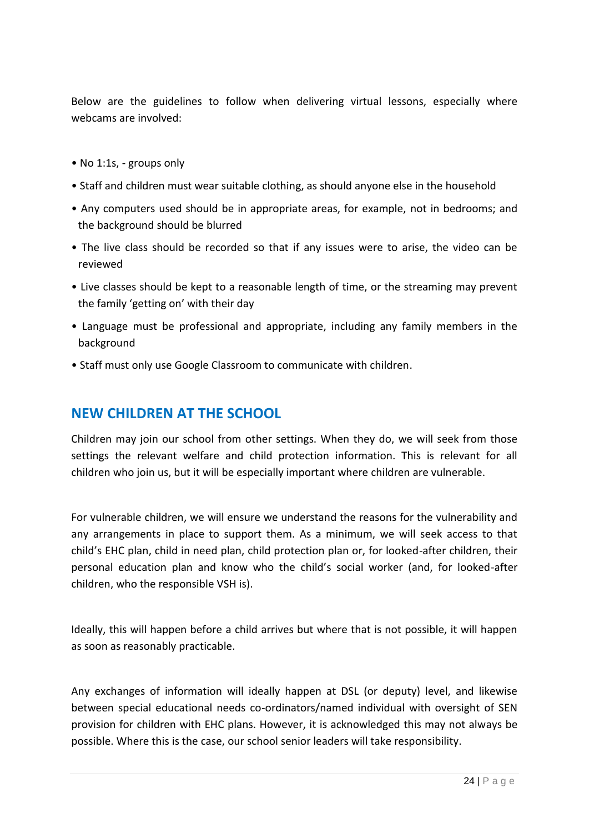Below are the guidelines to follow when delivering virtual lessons, especially where webcams are involved:

- No 1:1s, groups only
- Staff and children must wear suitable clothing, as should anyone else in the household
- Any computers used should be in appropriate areas, for example, not in bedrooms; and the background should be blurred
- The live class should be recorded so that if any issues were to arise, the video can be reviewed
- Live classes should be kept to a reasonable length of time, or the streaming may prevent the family 'getting on' with their day
- Language must be professional and appropriate, including any family members in the background
- Staff must only use Google Classroom to communicate with children.

# **NEW CHILDREN AT THE SCHOOL**

Children may join our school from other settings. When they do, we will seek from those settings the relevant welfare and child protection information. This is relevant for all children who join us, but it will be especially important where children are vulnerable.

For vulnerable children, we will ensure we understand the reasons for the vulnerability and any arrangements in place to support them. As a minimum, we will seek access to that child's EHC plan, child in need plan, child protection plan or, for looked-after children, their personal education plan and know who the child's social worker (and, for looked-after children, who the responsible VSH is).

Ideally, this will happen before a child arrives but where that is not possible, it will happen as soon as reasonably practicable.

Any exchanges of information will ideally happen at DSL (or deputy) level, and likewise between special educational needs co-ordinators/named individual with oversight of SEN provision for children with EHC plans. However, it is acknowledged this may not always be possible. Where this is the case, our school senior leaders will take responsibility.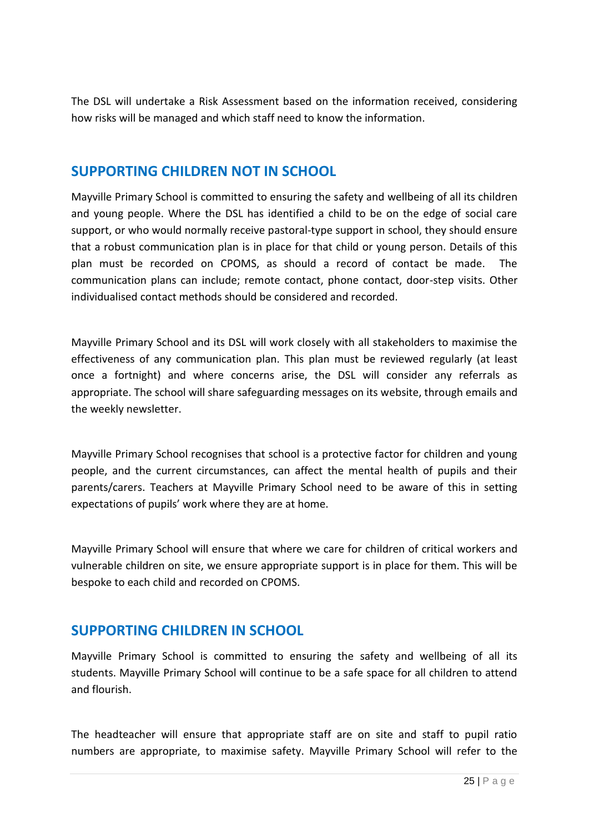The DSL will undertake a Risk Assessment based on the information received, considering how risks will be managed and which staff need to know the information.

# **SUPPORTING CHILDREN NOT IN SCHOOL**

Mayville Primary School is committed to ensuring the safety and wellbeing of all its children and young people. Where the DSL has identified a child to be on the edge of social care support, or who would normally receive pastoral-type support in school, they should ensure that a robust communication plan is in place for that child or young person. Details of this plan must be recorded on CPOMS, as should a record of contact be made. The communication plans can include; remote contact, phone contact, door-step visits. Other individualised contact methods should be considered and recorded.

Mayville Primary School and its DSL will work closely with all stakeholders to maximise the effectiveness of any communication plan. This plan must be reviewed regularly (at least once a fortnight) and where concerns arise, the DSL will consider any referrals as appropriate. The school will share safeguarding messages on its website, through emails and the weekly newsletter.

Mayville Primary School recognises that school is a protective factor for children and young people, and the current circumstances, can affect the mental health of pupils and their parents/carers. Teachers at Mayville Primary School need to be aware of this in setting expectations of pupils' work where they are at home.

Mayville Primary School will ensure that where we care for children of critical workers and vulnerable children on site, we ensure appropriate support is in place for them. This will be bespoke to each child and recorded on CPOMS.

# **SUPPORTING CHILDREN IN SCHOOL**

Mayville Primary School is committed to ensuring the safety and wellbeing of all its students. Mayville Primary School will continue to be a safe space for all children to attend and flourish.

The headteacher will ensure that appropriate staff are on site and staff to pupil ratio numbers are appropriate, to maximise safety. Mayville Primary School will refer to the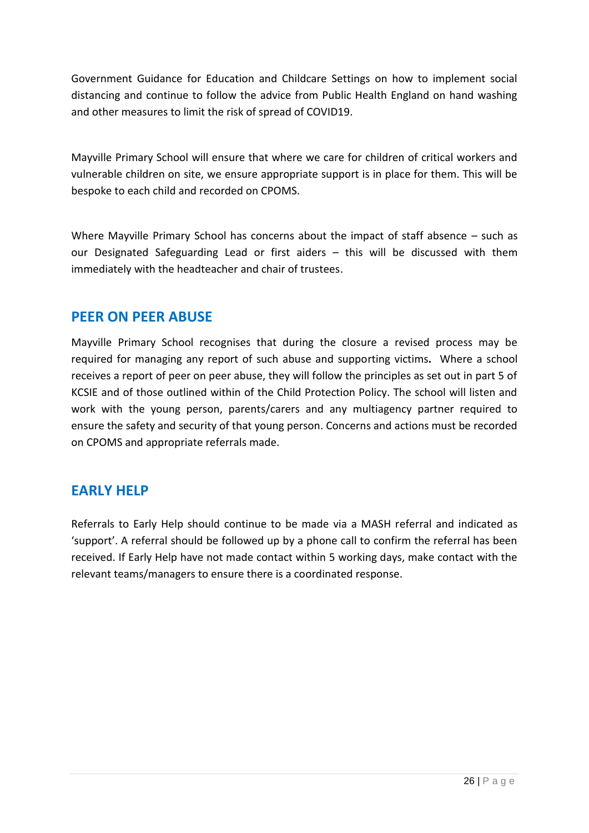Government Guidance for Education and Childcare Settings on how to implement social distancing and continue to follow the advice from Public Health England on hand washing and other measures to limit the risk of spread of COVID19.

Mayville Primary School will ensure that where we care for children of critical workers and vulnerable children on site, we ensure appropriate support is in place for them. This will be bespoke to each child and recorded on CPOMS.

Where Mayville Primary School has concerns about the impact of staff absence – such as our Designated Safeguarding Lead or first aiders – this will be discussed with them immediately with the headteacher and chair of trustees.

# **PEER ON PEER ABUSE**

Mayville Primary School recognises that during the closure a revised process may be required for managing any report of such abuse and supporting victims**.** Where a school receives a report of peer on peer abuse, they will follow the principles as set out in part 5 of KCSIE and of those outlined within of the Child Protection Policy. The school will listen and work with the young person, parents/carers and any multiagency partner required to ensure the safety and security of that young person. Concerns and actions must be recorded on CPOMS and appropriate referrals made.

# **EARLY HELP**

Referrals to Early Help should continue to be made via a MASH referral and indicated as 'support'. A referral should be followed up by a phone call to confirm the referral has been received. If Early Help have not made contact within 5 working days, make contact with the relevant teams/managers to ensure there is a coordinated response.